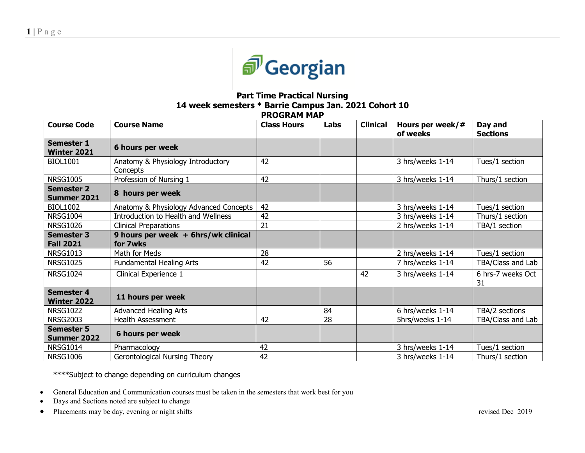

## **Part Time Practical Nursing 14 week semesters \* Barrie Campus Jan. 2021 Cohort 10 PROGRAM MAP**

| <b>Course Code</b>                      | <b>Course Name</b>                              | <b>Class Hours</b> | Labs | <b>Clinical</b> | Hours per week/#<br>of weeks | Day and<br><b>Sections</b> |
|-----------------------------------------|-------------------------------------------------|--------------------|------|-----------------|------------------------------|----------------------------|
| <b>Semester 1</b><br><b>Winter 2021</b> | 6 hours per week                                |                    |      |                 |                              |                            |
| <b>BIOL1001</b>                         | Anatomy & Physiology Introductory<br>Concepts   | 42                 |      |                 | 3 hrs/weeks 1-14             | Tues/1 section             |
| <b>NRSG1005</b>                         | Profession of Nursing 1                         | 42                 |      |                 | 3 hrs/weeks 1-14             | Thurs/1 section            |
| <b>Semester 2</b><br><b>Summer 2021</b> | 8 hours per week                                |                    |      |                 |                              |                            |
| <b>BIOL1002</b>                         | Anatomy & Physiology Advanced Concepts          | 42                 |      |                 | 3 hrs/weeks 1-14             | Tues/1 section             |
| <b>NRSG1004</b>                         | Introduction to Health and Wellness             | 42                 |      |                 | 3 hrs/weeks 1-14             | Thurs/1 section            |
| <b>NRSG1026</b>                         | <b>Clinical Preparations</b>                    | 21                 |      |                 | 2 hrs/weeks 1-14             | TBA/1 section              |
| <b>Semester 3</b><br><b>Fall 2021</b>   | 9 hours per week + 6hrs/wk clinical<br>for 7wks |                    |      |                 |                              |                            |
| <b>NRSG1013</b>                         | Math for Meds                                   | 28                 |      |                 | 2 hrs/weeks 1-14             | Tues/1 section             |
| <b>NRSG1025</b>                         | <b>Fundamental Healing Arts</b>                 | 42                 | 56   |                 | 7 hrs/weeks 1-14             | TBA/Class and Lab          |
| <b>NRSG1024</b>                         | Clinical Experience 1                           |                    |      | 42              | 3 hrs/weeks 1-14             | 6 hrs-7 weeks Oct<br>31    |
| <b>Semester 4</b><br><b>Winter 2022</b> | 11 hours per week                               |                    |      |                 |                              |                            |
| <b>NRSG1022</b>                         | <b>Advanced Healing Arts</b>                    |                    | 84   |                 | 6 hrs/weeks 1-14             | TBA/2 sections             |
| <b>NRSG2003</b>                         | <b>Health Assessment</b>                        | 42                 | 28   |                 | 5hrs/weeks 1-14              | TBA/Class and Lab          |
| <b>Semester 5</b><br><b>Summer 2022</b> | 6 hours per week                                |                    |      |                 |                              |                            |
| <b>NRSG1014</b>                         | Pharmacology                                    | 42                 |      |                 | 3 hrs/weeks 1-14             | Tues/1 section             |
| <b>NRSG1006</b>                         | Gerontological Nursing Theory                   | 42                 |      |                 | 3 hrs/weeks 1-14             | Thurs/1 section            |

\*\*\*\*Subject to change depending on curriculum changes

- General Education and Communication courses must be taken in the semesters that work best for you
- Days and Sections noted are subject to change
- Placements may be day, evening or night shifts revised Dec 2019